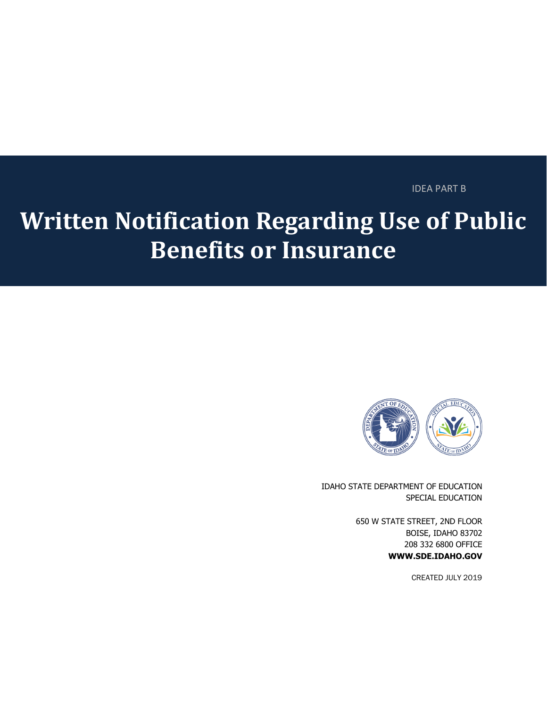#### IDEA PART B

# **Written Notification Regarding Use of Public Benefits or Insurance**



IDAHO STATE DEPARTMENT OF EDUCATION SPECIAL EDUCATION

> 650 W STATE STREET, 2ND FLOOR BOISE, IDAHO 83702 208 332 6800 OFFICE **WWW.SDE.IDAHO.GOV**

> > CREATED JULY 2019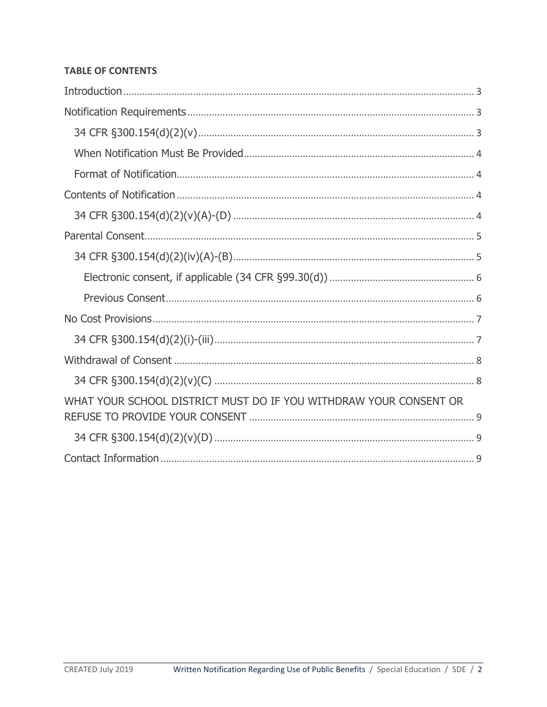#### **TABLE OF CONTENTS**

| WHAT YOUR SCHOOL DISTRICT MUST DO IF YOU WITHDRAW YOUR CONSENT OR |
|-------------------------------------------------------------------|
|                                                                   |
|                                                                   |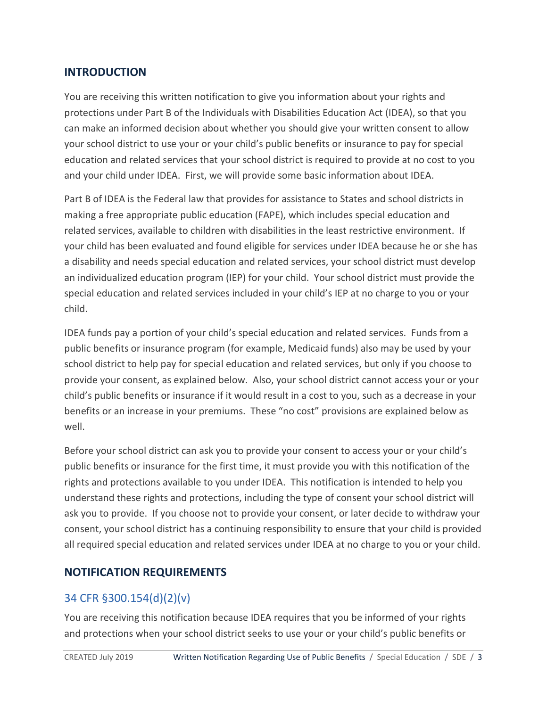#### <span id="page-2-0"></span>**INTRODUCTION**

You are receiving this written notification to give you information about your rights and protections under Part B of the Individuals with Disabilities Education Act (IDEA), so that you can make an informed decision about whether you should give your written consent to allow your school district to use your or your child's public benefits or insurance to pay for special education and related services that your school district is required to provide at no cost to you and your child under IDEA. First, we will provide some basic information about IDEA.

Part B of IDEA is the Federal law that provides for assistance to States and school districts in making a free appropriate public education (FAPE), which includes special education and related services, available to children with disabilities in the least restrictive environment. If your child has been evaluated and found eligible for services under IDEA because he or she has a disability and needs special education and related services, your school district must develop an individualized education program (IEP) for your child. Your school district must provide the special education and related services included in your child's IEP at no charge to you or your child.

IDEA funds pay a portion of your child's special education and related services. Funds from a public benefits or insurance program (for example, Medicaid funds) also may be used by your school district to help pay for special education and related services, but only if you choose to provide your consent, as explained below. Also, your school district cannot access your or your child's public benefits or insurance if it would result in a cost to you, such as a decrease in your benefits or an increase in your premiums. These "no cost" provisions are explained below as well.

Before your school district can ask you to provide your consent to access your or your child's public benefits or insurance for the first time, it must provide you with this notification of the rights and protections available to you under IDEA. This notification is intended to help you understand these rights and protections, including the type of consent your school district will ask you to provide. If you choose not to provide your consent, or later decide to withdraw your consent, your school district has a continuing responsibility to ensure that your child is provided all required special education and related services under IDEA at no charge to you or your child.

#### <span id="page-2-1"></span>**NOTIFICATION REQUIREMENTS**

## <span id="page-2-2"></span>34 CFR §300.154(d)(2)(v)

You are receiving this notification because IDEA requires that you be informed of your rights and protections when your school district seeks to use your or your child's public benefits or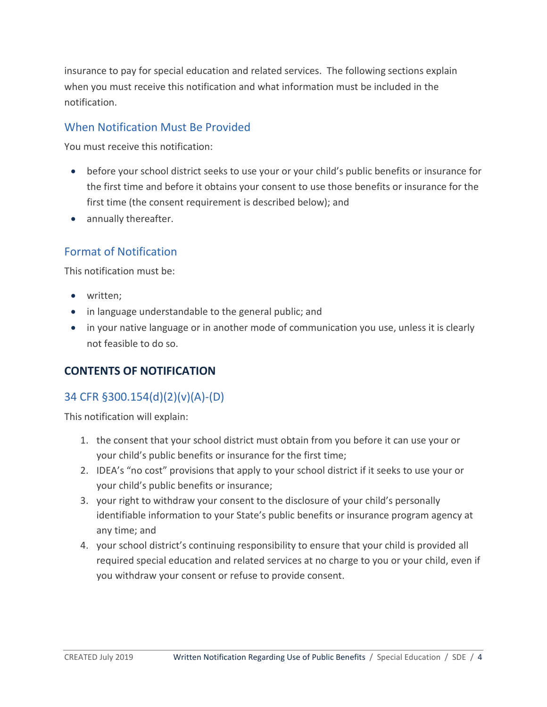insurance to pay for special education and related services. The following sections explain when you must receive this notification and what information must be included in the notification.

#### <span id="page-3-0"></span>When Notification Must Be Provided

You must receive this notification:

- before your school district seeks to use your or your child's public benefits or insurance for the first time and before it obtains your consent to use those benefits or insurance for the first time (the consent requirement is described below); and
- <span id="page-3-1"></span>• annually thereafter.

#### Format of Notification

This notification must be:

- written;
- in language understandable to the general public; and
- in your native language or in another mode of communication you use, unless it is clearly not feasible to do so.

#### <span id="page-3-2"></span>**CONTENTS OF NOTIFICATION**

## <span id="page-3-3"></span>34 CFR §300.154(d)(2)(v)(A)-(D)

This notification will explain:

- 1. the consent that your school district must obtain from you before it can use your or your child's public benefits or insurance for the first time;
- 2. IDEA's "no cost" provisions that apply to your school district if it seeks to use your or your child's public benefits or insurance;
- 3. your right to withdraw your consent to the disclosure of your child's personally identifiable information to your State's public benefits or insurance program agency at any time; and
- 4. your school district's continuing responsibility to ensure that your child is provided all required special education and related services at no charge to you or your child, even if you withdraw your consent or refuse to provide consent.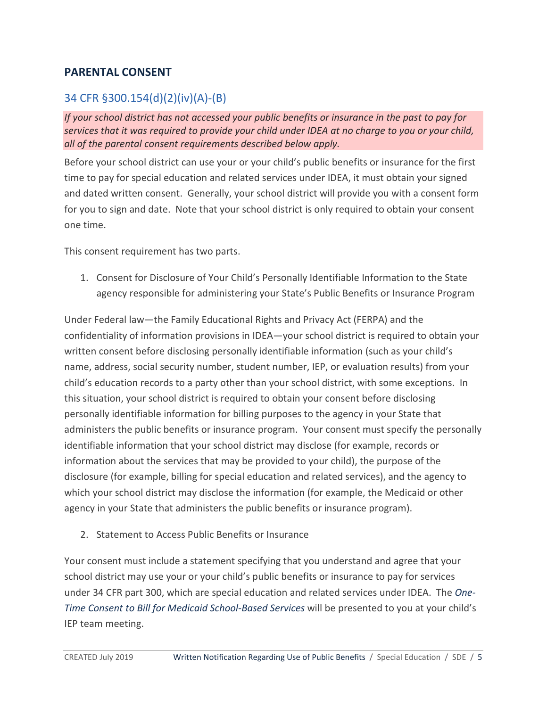#### <span id="page-4-0"></span>**PARENTAL CONSENT**

## <span id="page-4-1"></span>34 CFR §300.154(d)(2)(iv)(A)-(B)

*If your school district has not accessed your public benefits or insurance in the past to pay for services that it was required to provide your child under IDEA at no charge to you or your child, all of the parental consent requirements described below apply.*

Before your school district can use your or your child's public benefits or insurance for the first time to pay for special education and related services under IDEA, it must obtain your signed and dated written consent. Generally, your school district will provide you with a consent form for you to sign and date. Note that your school district is only required to obtain your consent one time.

This consent requirement has two parts.

1. Consent for Disclosure of Your Child's Personally Identifiable Information to the State agency responsible for administering your State's Public Benefits or Insurance Program

Under Federal law—the Family Educational Rights and Privacy Act (FERPA) and the confidentiality of information provisions in IDEA—your school district is required to obtain your written consent before disclosing personally identifiable information (such as your child's name, address, social security number, student number, IEP, or evaluation results) from your child's education records to a party other than your school district, with some exceptions. In this situation, your school district is required to obtain your consent before disclosing personally identifiable information for billing purposes to the agency in your State that administers the public benefits or insurance program. Your consent must specify the personally identifiable information that your school district may disclose (for example, records or information about the services that may be provided to your child), the purpose of the disclosure (for example, billing for special education and related services), and the agency to which your school district may disclose the information (for example, the Medicaid or other agency in your State that administers the public benefits or insurance program).

2. Statement to Access Public Benefits or Insurance

Your consent must include a statement specifying that you understand and agree that your school district may use your or your child's public benefits or insurance to pay for services under 34 CFR part 300, which are special education and related services under IDEA. The *One-Time Consent to Bill for Medicaid School-Based Services* will be presented to you at your child's IEP team meeting.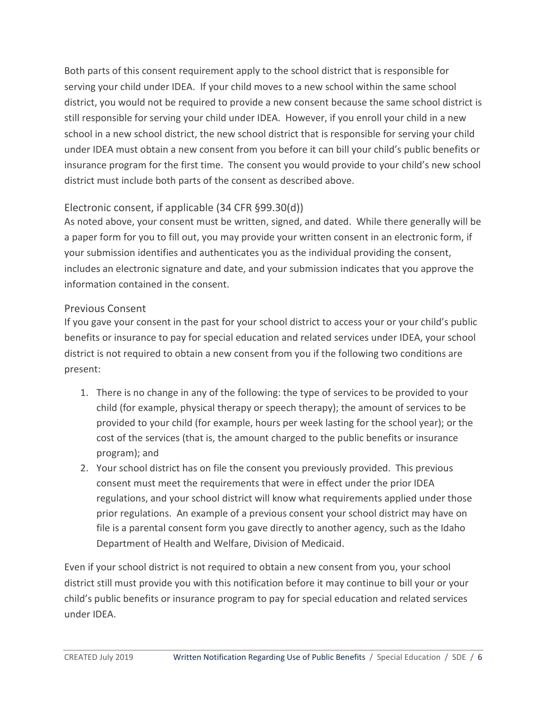Both parts of this consent requirement apply to the school district that is responsible for serving your child under IDEA. If your child moves to a new school within the same school district, you would not be required to provide a new consent because the same school district is still responsible for serving your child under IDEA. However, if you enroll your child in a new school in a new school district, the new school district that is responsible for serving your child under IDEA must obtain a new consent from you before it can bill your child's public benefits or insurance program for the first time. The consent you would provide to your child's new school district must include both parts of the consent as described above.

## <span id="page-5-0"></span>Electronic consent, if applicable (34 CFR §99.30(d))

As noted above, your consent must be written, signed, and dated. While there generally will be a paper form for you to fill out, you may provide your written consent in an electronic form, if your submission identifies and authenticates you as the individual providing the consent, includes an electronic signature and date, and your submission indicates that you approve the information contained in the consent.

#### <span id="page-5-1"></span>Previous Consent

If you gave your consent in the past for your school district to access your or your child's public benefits or insurance to pay for special education and related services under IDEA, your school district is not required to obtain a new consent from you if the following two conditions are present:

- 1. There is no change in any of the following: the type of services to be provided to your child (for example, physical therapy or speech therapy); the amount of services to be provided to your child (for example, hours per week lasting for the school year); or the cost of the services (that is, the amount charged to the public benefits or insurance program); and
- 2. Your school district has on file the consent you previously provided. This previous consent must meet the requirements that were in effect under the prior IDEA regulations, and your school district will know what requirements applied under those prior regulations. An example of a previous consent your school district may have on file is a parental consent form you gave directly to another agency, such as the Idaho Department of Health and Welfare, Division of Medicaid.

Even if your school district is not required to obtain a new consent from you, your school district still must provide you with this notification before it may continue to bill your or your child's public benefits or insurance program to pay for special education and related services under IDEA.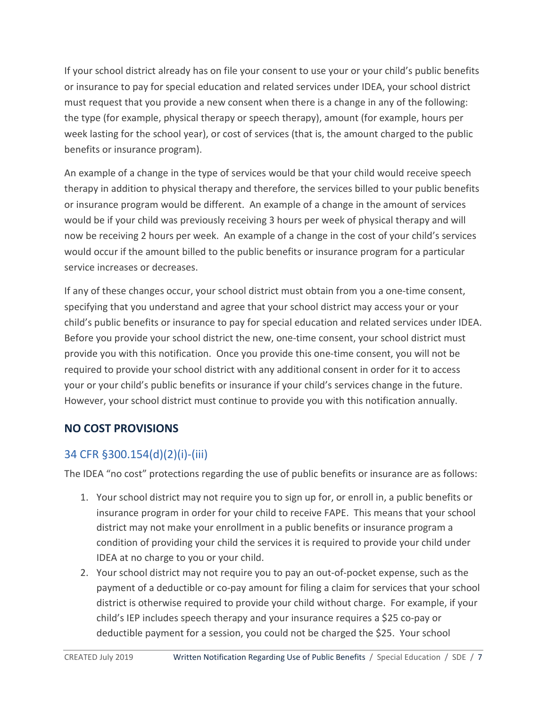If your school district already has on file your consent to use your or your child's public benefits or insurance to pay for special education and related services under IDEA, your school district must request that you provide a new consent when there is a change in any of the following: the type (for example, physical therapy or speech therapy), amount (for example, hours per week lasting for the school year), or cost of services (that is, the amount charged to the public benefits or insurance program).

An example of a change in the type of services would be that your child would receive speech therapy in addition to physical therapy and therefore, the services billed to your public benefits or insurance program would be different. An example of a change in the amount of services would be if your child was previously receiving 3 hours per week of physical therapy and will now be receiving 2 hours per week. An example of a change in the cost of your child's services would occur if the amount billed to the public benefits or insurance program for a particular service increases or decreases.

If any of these changes occur, your school district must obtain from you a one-time consent, specifying that you understand and agree that your school district may access your or your child's public benefits or insurance to pay for special education and related services under IDEA. Before you provide your school district the new, one-time consent, your school district must provide you with this notification. Once you provide this one-time consent, you will not be required to provide your school district with any additional consent in order for it to access your or your child's public benefits or insurance if your child's services change in the future. However, your school district must continue to provide you with this notification annually.

## <span id="page-6-0"></span>**NO COST PROVISIONS**

## <span id="page-6-1"></span>34 CFR §300.154(d)(2)(i)-(iii)

The IDEA "no cost" protections regarding the use of public benefits or insurance are as follows:

- 1. Your school district may not require you to sign up for, or enroll in, a public benefits or insurance program in order for your child to receive FAPE. This means that your school district may not make your enrollment in a public benefits or insurance program a condition of providing your child the services it is required to provide your child under IDEA at no charge to you or your child.
- 2. Your school district may not require you to pay an out-of-pocket expense, such as the payment of a deductible or co-pay amount for filing a claim for services that your school district is otherwise required to provide your child without charge. For example, if your child's IEP includes speech therapy and your insurance requires a \$25 co-pay or deductible payment for a session, you could not be charged the \$25. Your school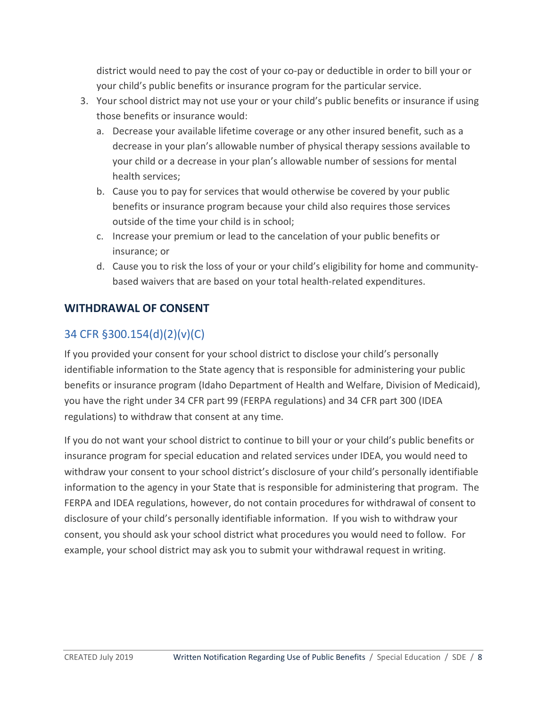district would need to pay the cost of your co-pay or deductible in order to bill your or your child's public benefits or insurance program for the particular service.

- 3. Your school district may not use your or your child's public benefits or insurance if using those benefits or insurance would:
	- a. Decrease your available lifetime coverage or any other insured benefit, such as a decrease in your plan's allowable number of physical therapy sessions available to your child or a decrease in your plan's allowable number of sessions for mental health services;
	- b. Cause you to pay for services that would otherwise be covered by your public benefits or insurance program because your child also requires those services outside of the time your child is in school;
	- c. Increase your premium or lead to the cancelation of your public benefits or insurance; or
	- d. Cause you to risk the loss of your or your child's eligibility for home and communitybased waivers that are based on your total health-related expenditures.

## <span id="page-7-0"></span>**WITHDRAWAL OF CONSENT**

## <span id="page-7-1"></span>34 CFR §300.154(d)(2)(v)(C)

If you provided your consent for your school district to disclose your child's personally identifiable information to the State agency that is responsible for administering your public benefits or insurance program (Idaho Department of Health and Welfare, Division of Medicaid), you have the right under 34 CFR part 99 (FERPA regulations) and 34 CFR part 300 (IDEA regulations) to withdraw that consent at any time.

If you do not want your school district to continue to bill your or your child's public benefits or insurance program for special education and related services under IDEA, you would need to withdraw your consent to your school district's disclosure of your child's personally identifiable information to the agency in your State that is responsible for administering that program. The FERPA and IDEA regulations, however, do not contain procedures for withdrawal of consent to disclosure of your child's personally identifiable information. If you wish to withdraw your consent, you should ask your school district what procedures you would need to follow. For example, your school district may ask you to submit your withdrawal request in writing.